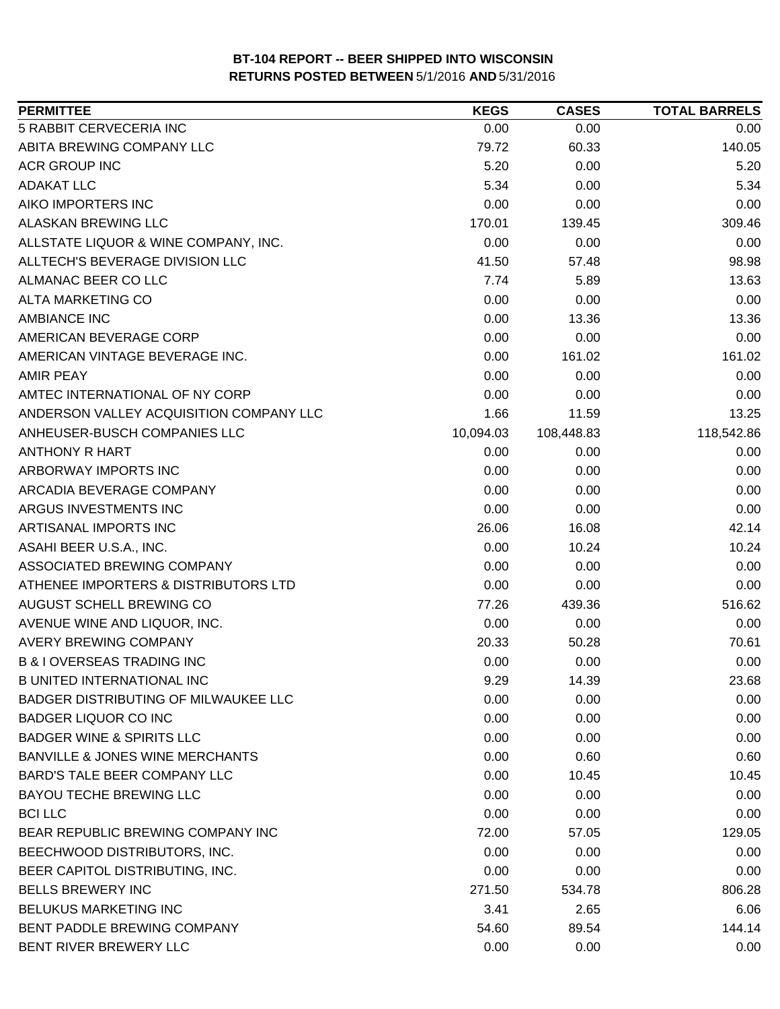| <b>PERMITTEE</b>                           | <b>KEGS</b> | <b>CASES</b> | <b>TOTAL BARRELS</b> |
|--------------------------------------------|-------------|--------------|----------------------|
| 5 RABBIT CERVECERIA INC                    | 0.00        | 0.00         | 0.00                 |
| ABITA BREWING COMPANY LLC                  | 79.72       | 60.33        | 140.05               |
| <b>ACR GROUP INC</b>                       | 5.20        | 0.00         | 5.20                 |
| <b>ADAKAT LLC</b>                          | 5.34        | 0.00         | 5.34                 |
| AIKO IMPORTERS INC                         | 0.00        | 0.00         | 0.00                 |
| ALASKAN BREWING LLC                        | 170.01      | 139.45       | 309.46               |
| ALLSTATE LIQUOR & WINE COMPANY, INC.       | 0.00        | 0.00         | 0.00                 |
| ALLTECH'S BEVERAGE DIVISION LLC            | 41.50       | 57.48        | 98.98                |
| ALMANAC BEER CO LLC                        | 7.74        | 5.89         | 13.63                |
| ALTA MARKETING CO                          | 0.00        | 0.00         | 0.00                 |
| <b>AMBIANCE INC</b>                        | 0.00        | 13.36        | 13.36                |
| AMERICAN BEVERAGE CORP                     | 0.00        | 0.00         | 0.00                 |
| AMERICAN VINTAGE BEVERAGE INC.             | 0.00        | 161.02       | 161.02               |
| <b>AMIR PEAY</b>                           | 0.00        | 0.00         | 0.00                 |
| AMTEC INTERNATIONAL OF NY CORP             | 0.00        | 0.00         | 0.00                 |
| ANDERSON VALLEY ACQUISITION COMPANY LLC    | 1.66        | 11.59        | 13.25                |
| ANHEUSER-BUSCH COMPANIES LLC               | 10,094.03   | 108,448.83   | 118,542.86           |
| <b>ANTHONY R HART</b>                      | 0.00        | 0.00         | 0.00                 |
| ARBORWAY IMPORTS INC                       | 0.00        | 0.00         | 0.00                 |
| ARCADIA BEVERAGE COMPANY                   | 0.00        | 0.00         | 0.00                 |
| ARGUS INVESTMENTS INC                      | 0.00        | 0.00         | 0.00                 |
| ARTISANAL IMPORTS INC                      | 26.06       | 16.08        | 42.14                |
| ASAHI BEER U.S.A., INC.                    | 0.00        | 10.24        | 10.24                |
| ASSOCIATED BREWING COMPANY                 | 0.00        | 0.00         | 0.00                 |
| ATHENEE IMPORTERS & DISTRIBUTORS LTD       | 0.00        | 0.00         | 0.00                 |
| AUGUST SCHELL BREWING CO                   | 77.26       | 439.36       | 516.62               |
| AVENUE WINE AND LIQUOR, INC.               | 0.00        | 0.00         | 0.00                 |
| <b>AVERY BREWING COMPANY</b>               | 20.33       | 50.28        | 70.61                |
| <b>B &amp; I OVERSEAS TRADING INC</b>      | 0.00        | 0.00         | 0.00                 |
| <b>B UNITED INTERNATIONAL INC</b>          | 9.29        | 14.39        | 23.68                |
| BADGER DISTRIBUTING OF MILWAUKEE LLC       | 0.00        | 0.00         | 0.00                 |
| <b>BADGER LIQUOR CO INC</b>                | 0.00        | 0.00         | 0.00                 |
| <b>BADGER WINE &amp; SPIRITS LLC</b>       | 0.00        | 0.00         | 0.00                 |
| <b>BANVILLE &amp; JONES WINE MERCHANTS</b> | 0.00        | 0.60         | 0.60                 |
| <b>BARD'S TALE BEER COMPANY LLC</b>        | 0.00        | 10.45        | 10.45                |
| <b>BAYOU TECHE BREWING LLC</b>             | 0.00        | 0.00         | 0.00                 |
| <b>BCI LLC</b>                             | 0.00        | 0.00         | 0.00                 |
| BEAR REPUBLIC BREWING COMPANY INC          | 72.00       | 57.05        | 129.05               |
| BEECHWOOD DISTRIBUTORS, INC.               | 0.00        | 0.00         | 0.00                 |
| BEER CAPITOL DISTRIBUTING, INC.            | 0.00        | 0.00         | 0.00                 |
| <b>BELLS BREWERY INC</b>                   | 271.50      | 534.78       | 806.28               |
| BELUKUS MARKETING INC                      | 3.41        | 2.65         | 6.06                 |
| BENT PADDLE BREWING COMPANY                | 54.60       | 89.54        | 144.14               |
| BENT RIVER BREWERY LLC                     | 0.00        | 0.00         | 0.00                 |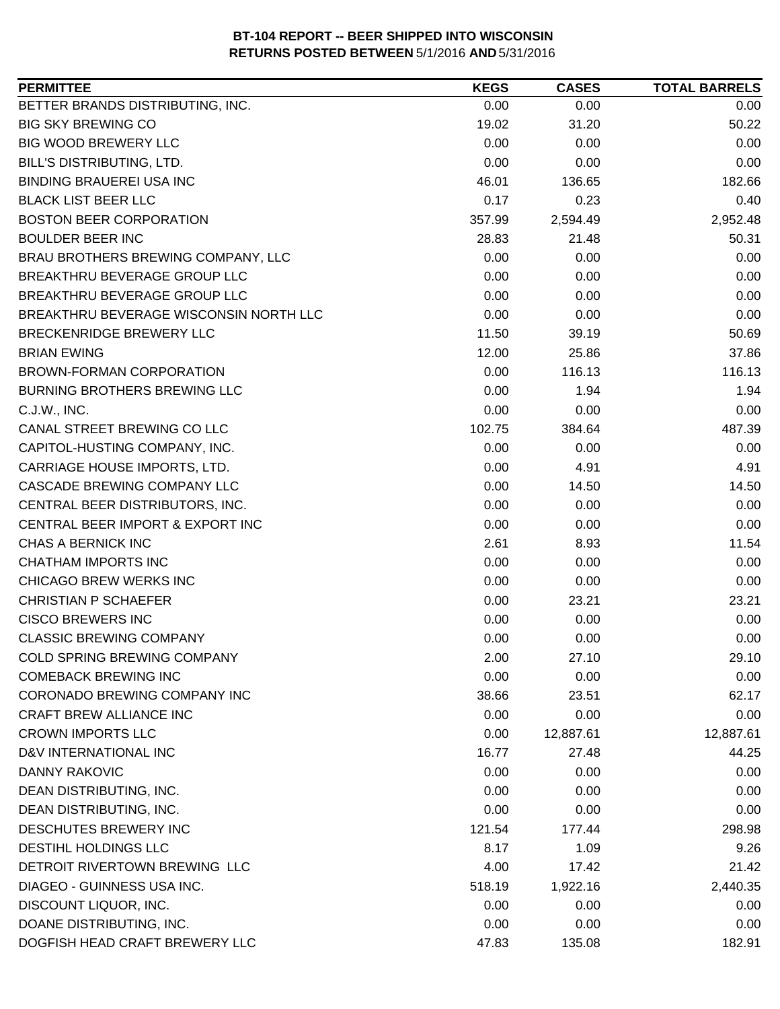| <b>PERMITTEE</b>                       | <b>KEGS</b> | <b>CASES</b> | <b>TOTAL BARRELS</b> |
|----------------------------------------|-------------|--------------|----------------------|
| BETTER BRANDS DISTRIBUTING, INC.       | 0.00        | 0.00         | 0.00                 |
| <b>BIG SKY BREWING CO</b>              | 19.02       | 31.20        | 50.22                |
| <b>BIG WOOD BREWERY LLC</b>            | 0.00        | 0.00         | 0.00                 |
| BILL'S DISTRIBUTING, LTD.              | 0.00        | 0.00         | 0.00                 |
| <b>BINDING BRAUEREI USA INC</b>        | 46.01       | 136.65       | 182.66               |
| <b>BLACK LIST BEER LLC</b>             | 0.17        | 0.23         | 0.40                 |
| <b>BOSTON BEER CORPORATION</b>         | 357.99      | 2,594.49     | 2,952.48             |
| <b>BOULDER BEER INC</b>                | 28.83       | 21.48        | 50.31                |
| BRAU BROTHERS BREWING COMPANY, LLC     | 0.00        | 0.00         | 0.00                 |
| BREAKTHRU BEVERAGE GROUP LLC           | 0.00        | 0.00         | 0.00                 |
| BREAKTHRU BEVERAGE GROUP LLC           | 0.00        | 0.00         | 0.00                 |
| BREAKTHRU BEVERAGE WISCONSIN NORTH LLC | 0.00        | 0.00         | 0.00                 |
| BRECKENRIDGE BREWERY LLC               | 11.50       | 39.19        | 50.69                |
| <b>BRIAN EWING</b>                     | 12.00       | 25.86        | 37.86                |
| <b>BROWN-FORMAN CORPORATION</b>        | 0.00        | 116.13       | 116.13               |
| <b>BURNING BROTHERS BREWING LLC</b>    | 0.00        | 1.94         | 1.94                 |
| C.J.W., INC.                           | 0.00        | 0.00         | 0.00                 |
| CANAL STREET BREWING CO LLC            | 102.75      | 384.64       | 487.39               |
| CAPITOL-HUSTING COMPANY, INC.          | 0.00        | 0.00         | 0.00                 |
| CARRIAGE HOUSE IMPORTS, LTD.           | 0.00        | 4.91         | 4.91                 |
| CASCADE BREWING COMPANY LLC            | 0.00        | 14.50        | 14.50                |
| CENTRAL BEER DISTRIBUTORS, INC.        | 0.00        | 0.00         | 0.00                 |
| CENTRAL BEER IMPORT & EXPORT INC       | 0.00        | 0.00         | 0.00                 |
| CHAS A BERNICK INC                     | 2.61        | 8.93         | 11.54                |
| CHATHAM IMPORTS INC                    | 0.00        | 0.00         | 0.00                 |
| CHICAGO BREW WERKS INC                 | 0.00        | 0.00         | 0.00                 |
| <b>CHRISTIAN P SCHAEFER</b>            | 0.00        | 23.21        | 23.21                |
| <b>CISCO BREWERS INC</b>               | 0.00        | 0.00         | 0.00                 |
| <b>CLASSIC BREWING COMPANY</b>         | 0.00        | 0.00         | 0.00                 |
| COLD SPRING BREWING COMPANY            | 2.00        | 27.10        | 29.10                |
| <b>COMEBACK BREWING INC</b>            | 0.00        | 0.00         | 0.00                 |
| CORONADO BREWING COMPANY INC           | 38.66       | 23.51        | 62.17                |
| CRAFT BREW ALLIANCE INC                | 0.00        | 0.00         | 0.00                 |
| <b>CROWN IMPORTS LLC</b>               | 0.00        | 12,887.61    | 12,887.61            |
| D&V INTERNATIONAL INC                  | 16.77       | 27.48        | 44.25                |
| DANNY RAKOVIC                          | 0.00        | 0.00         | 0.00                 |
| DEAN DISTRIBUTING, INC.                | 0.00        | 0.00         | 0.00                 |
| DEAN DISTRIBUTING, INC.                | 0.00        | 0.00         | 0.00                 |
| DESCHUTES BREWERY INC                  | 121.54      | 177.44       | 298.98               |
| DESTIHL HOLDINGS LLC                   | 8.17        | 1.09         | 9.26                 |
| DETROIT RIVERTOWN BREWING LLC          | 4.00        | 17.42        | 21.42                |
| DIAGEO - GUINNESS USA INC.             | 518.19      | 1,922.16     | 2,440.35             |
| DISCOUNT LIQUOR, INC.                  | 0.00        | 0.00         | 0.00                 |
| DOANE DISTRIBUTING, INC.               | 0.00        | 0.00         | 0.00                 |
| DOGFISH HEAD CRAFT BREWERY LLC         | 47.83       | 135.08       | 182.91               |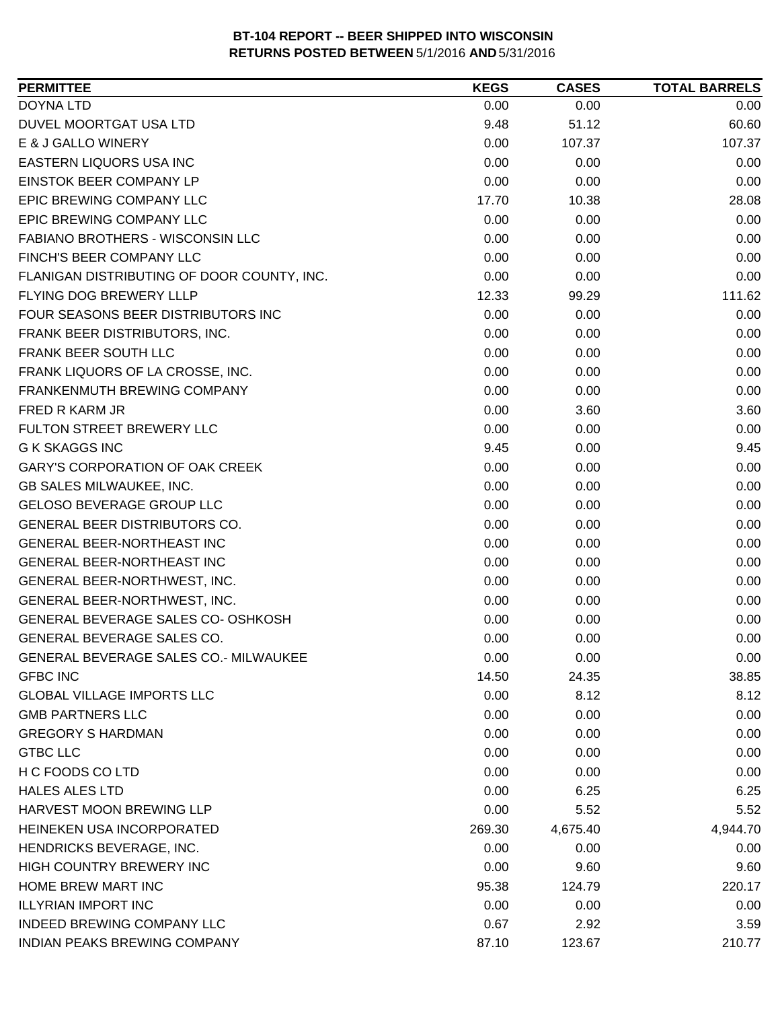| <b>PERMITTEE</b>                             | <b>KEGS</b> | <b>CASES</b> | <b>TOTAL BARRELS</b> |
|----------------------------------------------|-------------|--------------|----------------------|
| <b>DOYNA LTD</b>                             | 0.00        | 0.00         | 0.00                 |
| DUVEL MOORTGAT USA LTD                       | 9.48        | 51.12        | 60.60                |
| E & J GALLO WINERY                           | 0.00        | 107.37       | 107.37               |
| EASTERN LIQUORS USA INC                      | 0.00        | 0.00         | 0.00                 |
| EINSTOK BEER COMPANY LP                      | 0.00        | 0.00         | 0.00                 |
| EPIC BREWING COMPANY LLC                     | 17.70       | 10.38        | 28.08                |
| EPIC BREWING COMPANY LLC                     | 0.00        | 0.00         | 0.00                 |
| FABIANO BROTHERS - WISCONSIN LLC             | 0.00        | 0.00         | 0.00                 |
| FINCH'S BEER COMPANY LLC                     | 0.00        | 0.00         | 0.00                 |
| FLANIGAN DISTRIBUTING OF DOOR COUNTY, INC.   | 0.00        | 0.00         | 0.00                 |
| FLYING DOG BREWERY LLLP                      | 12.33       | 99.29        | 111.62               |
| FOUR SEASONS BEER DISTRIBUTORS INC           | 0.00        | 0.00         | 0.00                 |
| FRANK BEER DISTRIBUTORS, INC.                | 0.00        | 0.00         | 0.00                 |
| FRANK BEER SOUTH LLC                         | 0.00        | 0.00         | 0.00                 |
| FRANK LIQUORS OF LA CROSSE, INC.             | 0.00        | 0.00         | 0.00                 |
| FRANKENMUTH BREWING COMPANY                  | 0.00        | 0.00         | 0.00                 |
| <b>FRED R KARM JR</b>                        | 0.00        | 3.60         | 3.60                 |
| FULTON STREET BREWERY LLC                    | 0.00        | 0.00         | 0.00                 |
| <b>G K SKAGGS INC</b>                        | 9.45        | 0.00         | 9.45                 |
| <b>GARY'S CORPORATION OF OAK CREEK</b>       | 0.00        | 0.00         | 0.00                 |
| GB SALES MILWAUKEE, INC.                     | 0.00        | 0.00         | 0.00                 |
| <b>GELOSO BEVERAGE GROUP LLC</b>             | 0.00        | 0.00         | 0.00                 |
| GENERAL BEER DISTRIBUTORS CO.                | 0.00        | 0.00         | 0.00                 |
| <b>GENERAL BEER-NORTHEAST INC</b>            | 0.00        | 0.00         | 0.00                 |
| GENERAL BEER-NORTHEAST INC                   | 0.00        | 0.00         | 0.00                 |
| GENERAL BEER-NORTHWEST, INC.                 | 0.00        | 0.00         | 0.00                 |
| GENERAL BEER-NORTHWEST, INC.                 | 0.00        | 0.00         | 0.00                 |
| GENERAL BEVERAGE SALES CO- OSHKOSH           | 0.00        | 0.00         | 0.00                 |
| <b>GENERAL BEVERAGE SALES CO.</b>            | 0.00        | 0.00         | 0.00                 |
| <b>GENERAL BEVERAGE SALES CO.- MILWAUKEE</b> | 0.00        | 0.00         | 0.00                 |
| <b>GFBC INC</b>                              | 14.50       | 24.35        | 38.85                |
| <b>GLOBAL VILLAGE IMPORTS LLC</b>            | 0.00        | 8.12         | 8.12                 |
| <b>GMB PARTNERS LLC</b>                      | 0.00        | 0.00         | 0.00                 |
| <b>GREGORY S HARDMAN</b>                     | 0.00        | 0.00         | 0.00                 |
| <b>GTBC LLC</b>                              | 0.00        | 0.00         | 0.00                 |
| H C FOODS CO LTD                             | 0.00        | 0.00         | 0.00                 |
| <b>HALES ALES LTD</b>                        | 0.00        | 6.25         | 6.25                 |
| HARVEST MOON BREWING LLP                     | 0.00        | 5.52         | 5.52                 |
| HEINEKEN USA INCORPORATED                    | 269.30      | 4,675.40     | 4,944.70             |
| HENDRICKS BEVERAGE, INC.                     | 0.00        | 0.00         | 0.00                 |
| HIGH COUNTRY BREWERY INC                     | 0.00        | 9.60         | 9.60                 |
| <b>HOME BREW MART INC</b>                    | 95.38       | 124.79       | 220.17               |
| <b>ILLYRIAN IMPORT INC</b>                   | 0.00        | 0.00         | 0.00                 |
| INDEED BREWING COMPANY LLC                   | 0.67        | 2.92         | 3.59                 |
| INDIAN PEAKS BREWING COMPANY                 | 87.10       | 123.67       | 210.77               |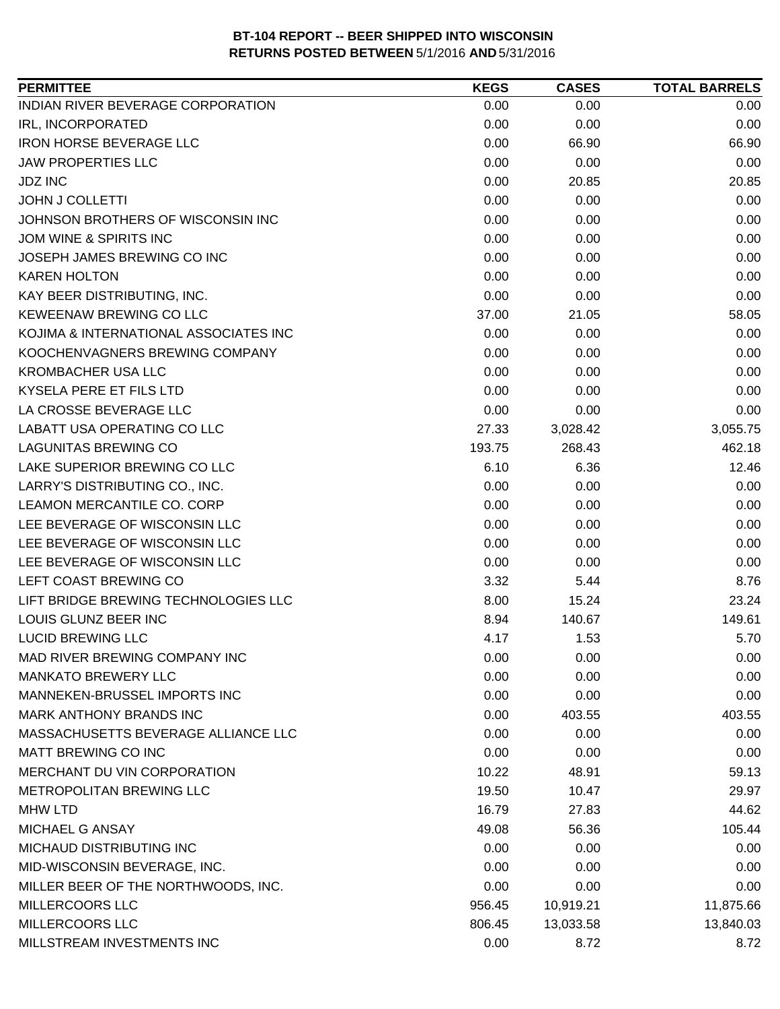| <b>PERMITTEE</b>                      | <b>KEGS</b> | <b>CASES</b> | <b>TOTAL BARRELS</b> |
|---------------------------------------|-------------|--------------|----------------------|
| INDIAN RIVER BEVERAGE CORPORATION     | 0.00        | 0.00         | 0.00                 |
| IRL, INCORPORATED                     | 0.00        | 0.00         | 0.00                 |
| <b>IRON HORSE BEVERAGE LLC</b>        | 0.00        | 66.90        | 66.90                |
| <b>JAW PROPERTIES LLC</b>             | 0.00        | 0.00         | 0.00                 |
| <b>JDZ INC</b>                        | 0.00        | 20.85        | 20.85                |
| <b>JOHN J COLLETTI</b>                | 0.00        | 0.00         | 0.00                 |
| JOHNSON BROTHERS OF WISCONSIN INC     | 0.00        | 0.00         | 0.00                 |
| JOM WINE & SPIRITS INC                | 0.00        | 0.00         | 0.00                 |
| JOSEPH JAMES BREWING CO INC           | 0.00        | 0.00         | 0.00                 |
| <b>KAREN HOLTON</b>                   | 0.00        | 0.00         | 0.00                 |
| KAY BEER DISTRIBUTING, INC.           | 0.00        | 0.00         | 0.00                 |
| KEWEENAW BREWING CO LLC               | 37.00       | 21.05        | 58.05                |
| KOJIMA & INTERNATIONAL ASSOCIATES INC | 0.00        | 0.00         | 0.00                 |
| KOOCHENVAGNERS BREWING COMPANY        | 0.00        | 0.00         | 0.00                 |
| <b>KROMBACHER USA LLC</b>             | 0.00        | 0.00         | 0.00                 |
| KYSELA PERE ET FILS LTD               | 0.00        | 0.00         | 0.00                 |
| LA CROSSE BEVERAGE LLC                | 0.00        | 0.00         | 0.00                 |
| LABATT USA OPERATING CO LLC           | 27.33       | 3,028.42     | 3,055.75             |
| <b>LAGUNITAS BREWING CO</b>           | 193.75      | 268.43       | 462.18               |
| LAKE SUPERIOR BREWING CO LLC          | 6.10        | 6.36         | 12.46                |
| LARRY'S DISTRIBUTING CO., INC.        | 0.00        | 0.00         | 0.00                 |
| LEAMON MERCANTILE CO. CORP            | 0.00        | 0.00         | 0.00                 |
| LEE BEVERAGE OF WISCONSIN LLC         | 0.00        | 0.00         | 0.00                 |
| LEE BEVERAGE OF WISCONSIN LLC         | 0.00        | 0.00         | 0.00                 |
| LEE BEVERAGE OF WISCONSIN LLC         | 0.00        | 0.00         | 0.00                 |
| LEFT COAST BREWING CO                 | 3.32        | 5.44         | 8.76                 |
| LIFT BRIDGE BREWING TECHNOLOGIES LLC  | 8.00        | 15.24        | 23.24                |
| LOUIS GLUNZ BEER INC                  | 8.94        | 140.67       | 149.61               |
| <b>LUCID BREWING LLC</b>              | 4.17        | 1.53         | 5.70                 |
| MAD RIVER BREWING COMPANY INC         | 0.00        | 0.00         | 0.00                 |
| <b>MANKATO BREWERY LLC</b>            | 0.00        | 0.00         | 0.00                 |
| MANNEKEN-BRUSSEL IMPORTS INC          | 0.00        | 0.00         | 0.00                 |
| <b>MARK ANTHONY BRANDS INC</b>        | 0.00        | 403.55       | 403.55               |
| MASSACHUSETTS BEVERAGE ALLIANCE LLC   | 0.00        | 0.00         | 0.00                 |
| MATT BREWING CO INC                   | 0.00        | 0.00         | 0.00                 |
| MERCHANT DU VIN CORPORATION           | 10.22       | 48.91        | 59.13                |
| <b>METROPOLITAN BREWING LLC</b>       | 19.50       | 10.47        | 29.97                |
| <b>MHW LTD</b>                        | 16.79       | 27.83        | 44.62                |
| MICHAEL G ANSAY                       | 49.08       | 56.36        | 105.44               |
| MICHAUD DISTRIBUTING INC              | 0.00        | 0.00         | 0.00                 |
| MID-WISCONSIN BEVERAGE, INC.          | 0.00        | 0.00         | 0.00                 |
| MILLER BEER OF THE NORTHWOODS, INC.   | 0.00        | 0.00         | 0.00                 |
| MILLERCOORS LLC                       | 956.45      | 10,919.21    | 11,875.66            |
| MILLERCOORS LLC                       | 806.45      | 13,033.58    | 13,840.03            |
| MILLSTREAM INVESTMENTS INC            | 0.00        | 8.72         | 8.72                 |
|                                       |             |              |                      |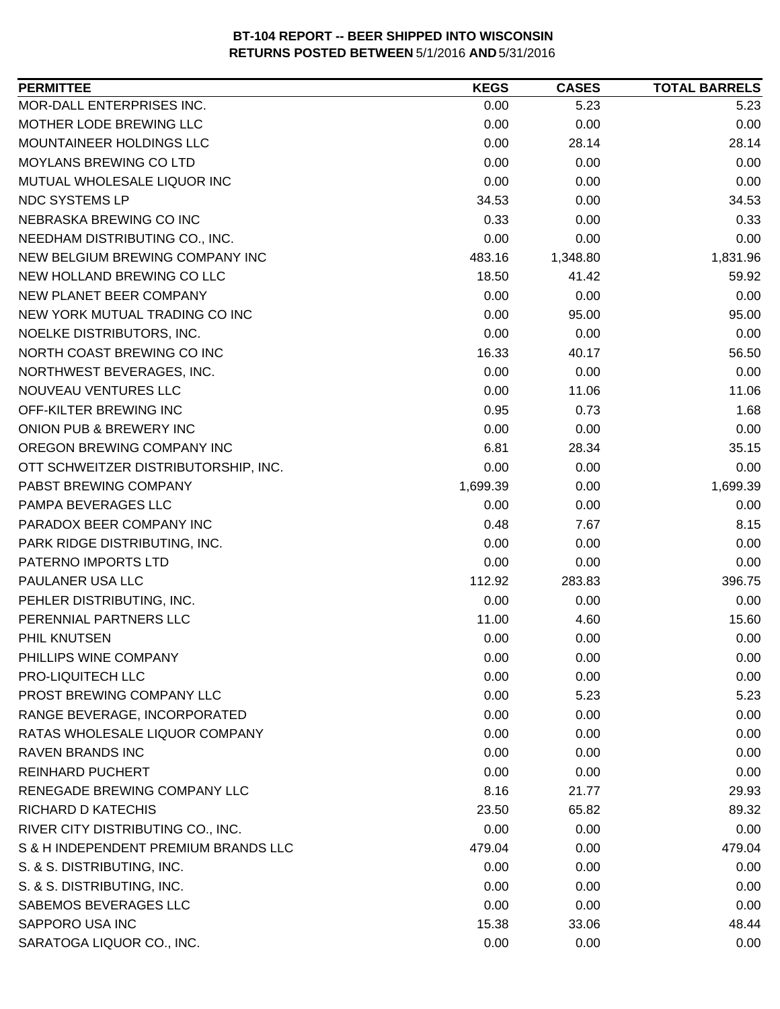| <b>PERMITTEE</b>                     | <b>KEGS</b> | <b>CASES</b> | <b>TOTAL BARRELS</b> |
|--------------------------------------|-------------|--------------|----------------------|
| MOR-DALL ENTERPRISES INC.            | 0.00        | 5.23         | 5.23                 |
| MOTHER LODE BREWING LLC              | 0.00        | 0.00         | 0.00                 |
| MOUNTAINEER HOLDINGS LLC             | 0.00        | 28.14        | 28.14                |
| <b>MOYLANS BREWING CO LTD</b>        | 0.00        | 0.00         | 0.00                 |
| MUTUAL WHOLESALE LIQUOR INC          | 0.00        | 0.00         | 0.00                 |
| NDC SYSTEMS LP                       | 34.53       | 0.00         | 34.53                |
| NEBRASKA BREWING CO INC              | 0.33        | 0.00         | 0.33                 |
| NEEDHAM DISTRIBUTING CO., INC.       | 0.00        | 0.00         | 0.00                 |
| NEW BELGIUM BREWING COMPANY INC      | 483.16      | 1,348.80     | 1,831.96             |
| NEW HOLLAND BREWING CO LLC           | 18.50       | 41.42        | 59.92                |
| NEW PLANET BEER COMPANY              | 0.00        | 0.00         | 0.00                 |
| NEW YORK MUTUAL TRADING CO INC       | 0.00        | 95.00        | 95.00                |
| NOELKE DISTRIBUTORS, INC.            | 0.00        | 0.00         | 0.00                 |
| NORTH COAST BREWING CO INC           | 16.33       | 40.17        | 56.50                |
| NORTHWEST BEVERAGES, INC.            | 0.00        | 0.00         | 0.00                 |
| NOUVEAU VENTURES LLC                 | 0.00        | 11.06        | 11.06                |
| OFF-KILTER BREWING INC               | 0.95        | 0.73         | 1.68                 |
| ONION PUB & BREWERY INC              | 0.00        | 0.00         | 0.00                 |
| OREGON BREWING COMPANY INC           | 6.81        | 28.34        | 35.15                |
| OTT SCHWEITZER DISTRIBUTORSHIP, INC. | 0.00        | 0.00         | 0.00                 |
| PABST BREWING COMPANY                | 1,699.39    | 0.00         | 1,699.39             |
| PAMPA BEVERAGES LLC                  | 0.00        | 0.00         | 0.00                 |
| PARADOX BEER COMPANY INC             | 0.48        | 7.67         | 8.15                 |
| PARK RIDGE DISTRIBUTING, INC.        | 0.00        | 0.00         | 0.00                 |
| PATERNO IMPORTS LTD                  | 0.00        | 0.00         | 0.00                 |
| PAULANER USA LLC                     | 112.92      | 283.83       | 396.75               |
| PEHLER DISTRIBUTING, INC.            | 0.00        | 0.00         | 0.00                 |
| PERENNIAL PARTNERS LLC               | 11.00       | 4.60         | 15.60                |
| PHIL KNUTSEN                         | 0.00        | 0.00         | 0.00                 |
| PHILLIPS WINE COMPANY                | 0.00        | 0.00         | 0.00                 |
| PRO-LIQUITECH LLC                    | 0.00        | 0.00         | 0.00                 |
| PROST BREWING COMPANY LLC            | 0.00        | 5.23         | 5.23                 |
| RANGE BEVERAGE, INCORPORATED         | 0.00        | 0.00         | 0.00                 |
| RATAS WHOLESALE LIQUOR COMPANY       | 0.00        | 0.00         | 0.00                 |
| <b>RAVEN BRANDS INC</b>              | 0.00        | 0.00         | 0.00                 |
| <b>REINHARD PUCHERT</b>              | 0.00        | 0.00         | 0.00                 |
| RENEGADE BREWING COMPANY LLC         | 8.16        | 21.77        | 29.93                |
| RICHARD D KATECHIS                   | 23.50       | 65.82        | 89.32                |
| RIVER CITY DISTRIBUTING CO., INC.    | 0.00        | 0.00         | 0.00                 |
| S & H INDEPENDENT PREMIUM BRANDS LLC | 479.04      | 0.00         | 479.04               |
| S. & S. DISTRIBUTING, INC.           | 0.00        | 0.00         | 0.00                 |
| S. & S. DISTRIBUTING, INC.           | 0.00        | 0.00         | 0.00                 |
| SABEMOS BEVERAGES LLC                | 0.00        | 0.00         | 0.00                 |
| SAPPORO USA INC                      | 15.38       | 33.06        | 48.44                |
| SARATOGA LIQUOR CO., INC.            | 0.00        | 0.00         | 0.00                 |
|                                      |             |              |                      |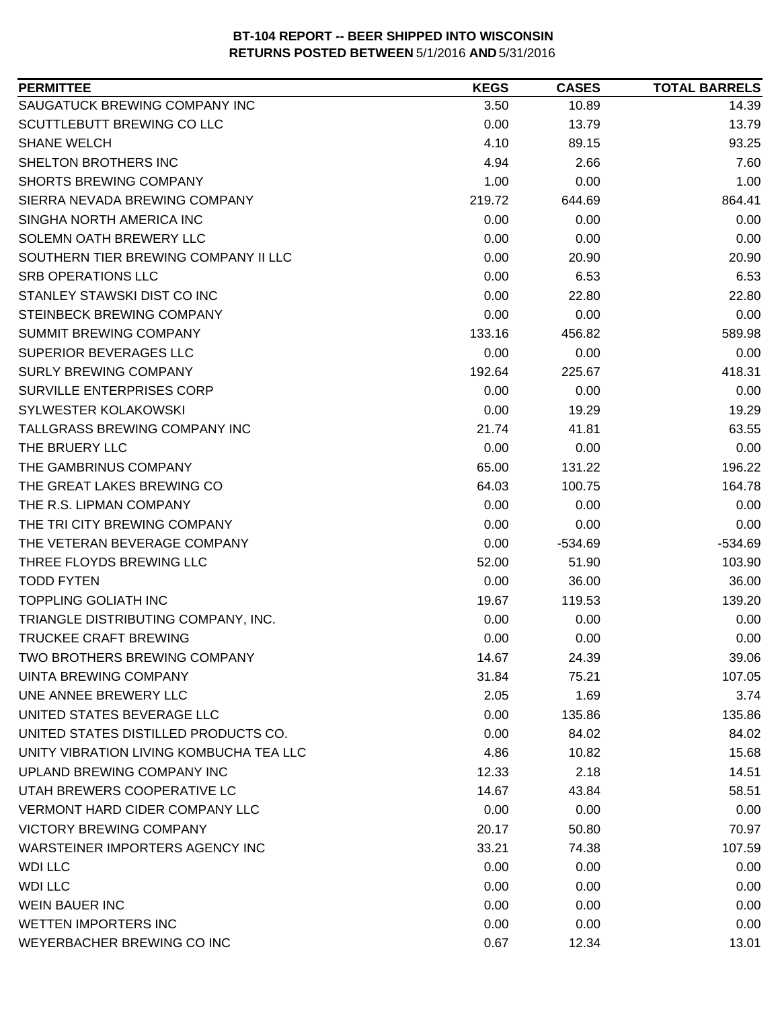| <b>PERMITTEE</b>                        | <b>KEGS</b> | <b>CASES</b> | <b>TOTAL BARRELS</b> |
|-----------------------------------------|-------------|--------------|----------------------|
| SAUGATUCK BREWING COMPANY INC           | 3.50        | 10.89        | 14.39                |
| <b>SCUTTLEBUTT BREWING CO LLC</b>       | 0.00        | 13.79        | 13.79                |
| <b>SHANE WELCH</b>                      | 4.10        | 89.15        | 93.25                |
| SHELTON BROTHERS INC                    | 4.94        | 2.66         | 7.60                 |
| <b>SHORTS BREWING COMPANY</b>           | 1.00        | 0.00         | 1.00                 |
| SIERRA NEVADA BREWING COMPANY           | 219.72      | 644.69       | 864.41               |
| SINGHA NORTH AMERICA INC                | 0.00        | 0.00         | 0.00                 |
| SOLEMN OATH BREWERY LLC                 | 0.00        | 0.00         | 0.00                 |
| SOUTHERN TIER BREWING COMPANY II LLC    | 0.00        | 20.90        | 20.90                |
| <b>SRB OPERATIONS LLC</b>               | 0.00        | 6.53         | 6.53                 |
| STANLEY STAWSKI DIST CO INC             | 0.00        | 22.80        | 22.80                |
| STEINBECK BREWING COMPANY               | 0.00        | 0.00         | 0.00                 |
| <b>SUMMIT BREWING COMPANY</b>           | 133.16      | 456.82       | 589.98               |
| <b>SUPERIOR BEVERAGES LLC</b>           | 0.00        | 0.00         | 0.00                 |
| <b>SURLY BREWING COMPANY</b>            | 192.64      | 225.67       | 418.31               |
| <b>SURVILLE ENTERPRISES CORP</b>        | 0.00        | 0.00         | 0.00                 |
| SYLWESTER KOLAKOWSKI                    | 0.00        | 19.29        | 19.29                |
| TALLGRASS BREWING COMPANY INC           | 21.74       | 41.81        | 63.55                |
| THE BRUERY LLC                          | 0.00        | 0.00         | 0.00                 |
| THE GAMBRINUS COMPANY                   | 65.00       | 131.22       | 196.22               |
| THE GREAT LAKES BREWING CO              | 64.03       | 100.75       | 164.78               |
| THE R.S. LIPMAN COMPANY                 | 0.00        | 0.00         | 0.00                 |
| THE TRI CITY BREWING COMPANY            | 0.00        | 0.00         | 0.00                 |
| THE VETERAN BEVERAGE COMPANY            | 0.00        | $-534.69$    | $-534.69$            |
| THREE FLOYDS BREWING LLC                | 52.00       | 51.90        | 103.90               |
| <b>TODD FYTEN</b>                       | 0.00        | 36.00        | 36.00                |
| <b>TOPPLING GOLIATH INC</b>             | 19.67       | 119.53       | 139.20               |
| TRIANGLE DISTRIBUTING COMPANY, INC.     | 0.00        | 0.00         | 0.00                 |
| <b>TRUCKEE CRAFT BREWING</b>            | 0.00        | 0.00         | 0.00                 |
| <b>TWO BROTHERS BREWING COMPANY</b>     | 14.67       | 24.39        | 39.06                |
| UINTA BREWING COMPANY                   | 31.84       | 75.21        | 107.05               |
| UNE ANNEE BREWERY LLC                   | 2.05        | 1.69         | 3.74                 |
| UNITED STATES BEVERAGE LLC              | 0.00        | 135.86       | 135.86               |
| UNITED STATES DISTILLED PRODUCTS CO.    | 0.00        | 84.02        | 84.02                |
| UNITY VIBRATION LIVING KOMBUCHA TEA LLC | 4.86        | 10.82        | 15.68                |
| UPLAND BREWING COMPANY INC              | 12.33       | 2.18         | 14.51                |
| UTAH BREWERS COOPERATIVE LC             | 14.67       | 43.84        | 58.51                |
| <b>VERMONT HARD CIDER COMPANY LLC</b>   | 0.00        | 0.00         | 0.00                 |
| <b>VICTORY BREWING COMPANY</b>          | 20.17       | 50.80        | 70.97                |
| WARSTEINER IMPORTERS AGENCY INC         | 33.21       | 74.38        | 107.59               |
| <b>WDI LLC</b>                          | 0.00        | 0.00         | 0.00                 |
| <b>WDI LLC</b>                          | 0.00        | 0.00         | 0.00                 |
| <b>WEIN BAUER INC</b>                   | 0.00        | 0.00         | 0.00                 |
| <b>WETTEN IMPORTERS INC</b>             | 0.00        | 0.00         | 0.00                 |
| WEYERBACHER BREWING CO INC              | 0.67        | 12.34        | 13.01                |